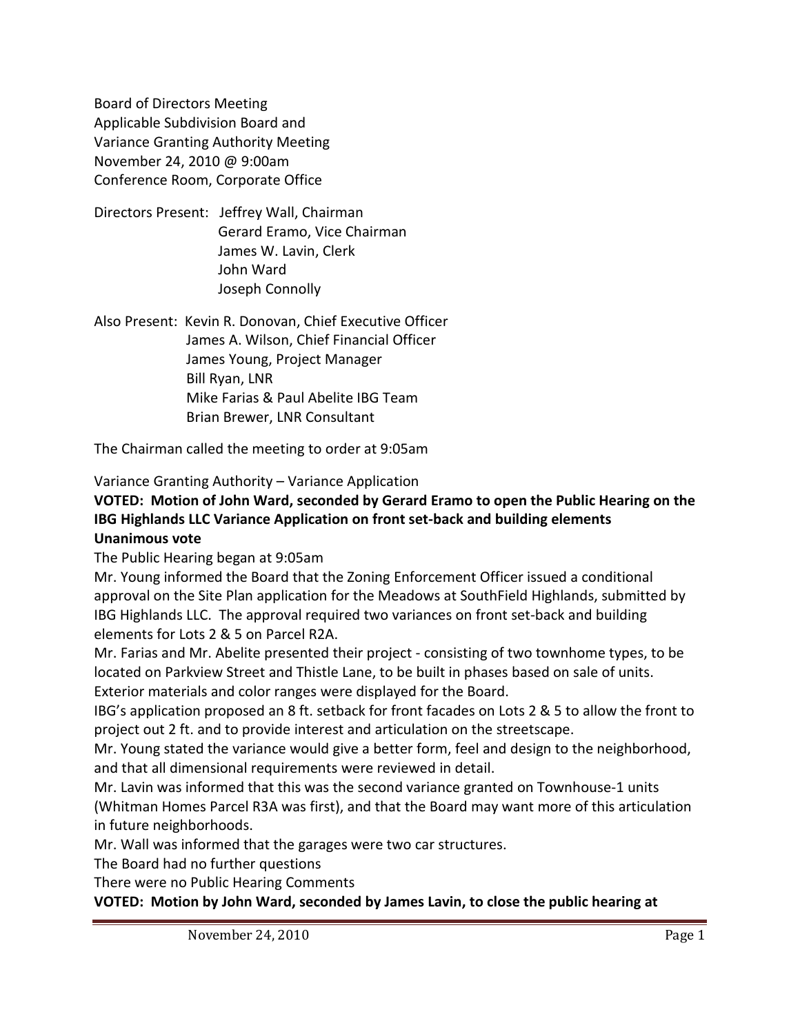Board of Directors Meeting Applicable Subdivision Board and Variance Granting Authority Meeting November 24, 2010 @ 9:00am Conference Room, Corporate Office

Directors Present: Jeffrey Wall, Chairman Gerard Eramo, Vice Chairman James W. Lavin, Clerk John Ward Joseph Connolly

Also Present: Kevin R. Donovan, Chief Executive Officer James A. Wilson, Chief Financial Officer James Young, Project Manager Bill Ryan, LNR Mike Farias & Paul Abelite IBG Team Brian Brewer, LNR Consultant

The Chairman called the meeting to order at 9:05am

Variance Granting Authority – Variance Application

#### **VOTED: Motion of John Ward, seconded by Gerard Eramo to open the Public Hearing on the IBG Highlands LLC Variance Application on front set-back and building elements Unanimous vote**

The Public Hearing began at 9:05am

Mr. Young informed the Board that the Zoning Enforcement Officer issued a conditional approval on the Site Plan application for the Meadows at SouthField Highlands, submitted by IBG Highlands LLC. The approval required two variances on front set-back and building elements for Lots 2 & 5 on Parcel R2A.

Mr. Farias and Mr. Abelite presented their project - consisting of two townhome types, to be located on Parkview Street and Thistle Lane, to be built in phases based on sale of units. Exterior materials and color ranges were displayed for the Board.

IBG's application proposed an 8 ft. setback for front facades on Lots 2 & 5 to allow the front to project out 2 ft. and to provide interest and articulation on the streetscape.

Mr. Young stated the variance would give a better form, feel and design to the neighborhood, and that all dimensional requirements were reviewed in detail.

Mr. Lavin was informed that this was the second variance granted on Townhouse-1 units (Whitman Homes Parcel R3A was first), and that the Board may want more of this articulation in future neighborhoods.

Mr. Wall was informed that the garages were two car structures.

The Board had no further questions

There were no Public Hearing Comments

**VOTED: Motion by John Ward, seconded by James Lavin, to close the public hearing at**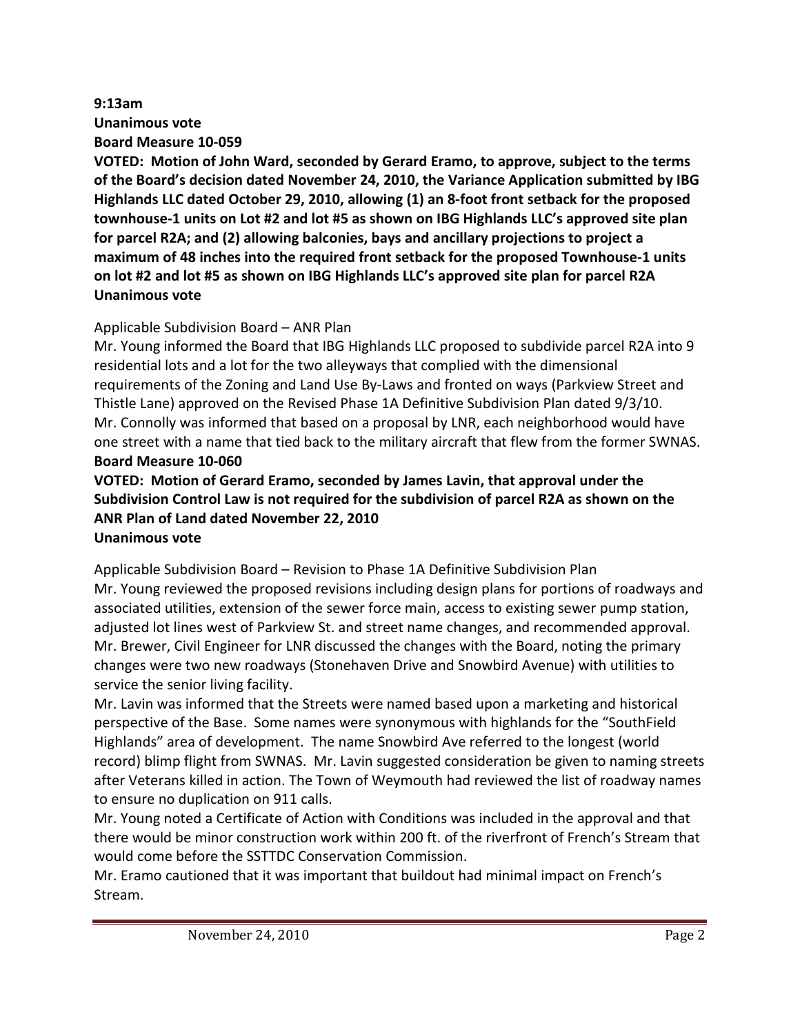# **9:13am Unanimous vote Board Measure 10-059**

**VOTED: Motion of John Ward, seconded by Gerard Eramo, to approve, subject to the terms of the Board's decision dated November 24, 2010, the Variance Application submitted by IBG Highlands LLC dated October 29, 2010, allowing (1) an 8-foot front setback for the proposed townhouse-1 units on Lot #2 and lot #5 as shown on IBG Highlands LLC's approved site plan for parcel R2A; and (2) allowing balconies, bays and ancillary projections to project a maximum of 48 inches into the required front setback for the proposed Townhouse-1 units on lot #2 and lot #5 as shown on IBG Highlands LLC's approved site plan for parcel R2A Unanimous vote**

## Applicable Subdivision Board – ANR Plan

Mr. Young informed the Board that IBG Highlands LLC proposed to subdivide parcel R2A into 9 residential lots and a lot for the two alleyways that complied with the dimensional requirements of the Zoning and Land Use By-Laws and fronted on ways (Parkview Street and Thistle Lane) approved on the Revised Phase 1A Definitive Subdivision Plan dated 9/3/10. Mr. Connolly was informed that based on a proposal by LNR, each neighborhood would have one street with a name that tied back to the military aircraft that flew from the former SWNAS. **Board Measure 10-060**

#### **VOTED: Motion of Gerard Eramo, seconded by James Lavin, that approval under the Subdivision Control Law is not required for the subdivision of parcel R2A as shown on the ANR Plan of Land dated November 22, 2010 Unanimous vote**

Applicable Subdivision Board – Revision to Phase 1A Definitive Subdivision Plan Mr. Young reviewed the proposed revisions including design plans for portions of roadways and associated utilities, extension of the sewer force main, access to existing sewer pump station, adjusted lot lines west of Parkview St. and street name changes, and recommended approval. Mr. Brewer, Civil Engineer for LNR discussed the changes with the Board, noting the primary changes were two new roadways (Stonehaven Drive and Snowbird Avenue) with utilities to service the senior living facility.

Mr. Lavin was informed that the Streets were named based upon a marketing and historical perspective of the Base. Some names were synonymous with highlands for the "SouthField Highlands" area of development. The name Snowbird Ave referred to the longest (world record) blimp flight from SWNAS. Mr. Lavin suggested consideration be given to naming streets after Veterans killed in action. The Town of Weymouth had reviewed the list of roadway names to ensure no duplication on 911 calls.

Mr. Young noted a Certificate of Action with Conditions was included in the approval and that there would be minor construction work within 200 ft. of the riverfront of French's Stream that would come before the SSTTDC Conservation Commission.

Mr. Eramo cautioned that it was important that buildout had minimal impact on French's Stream.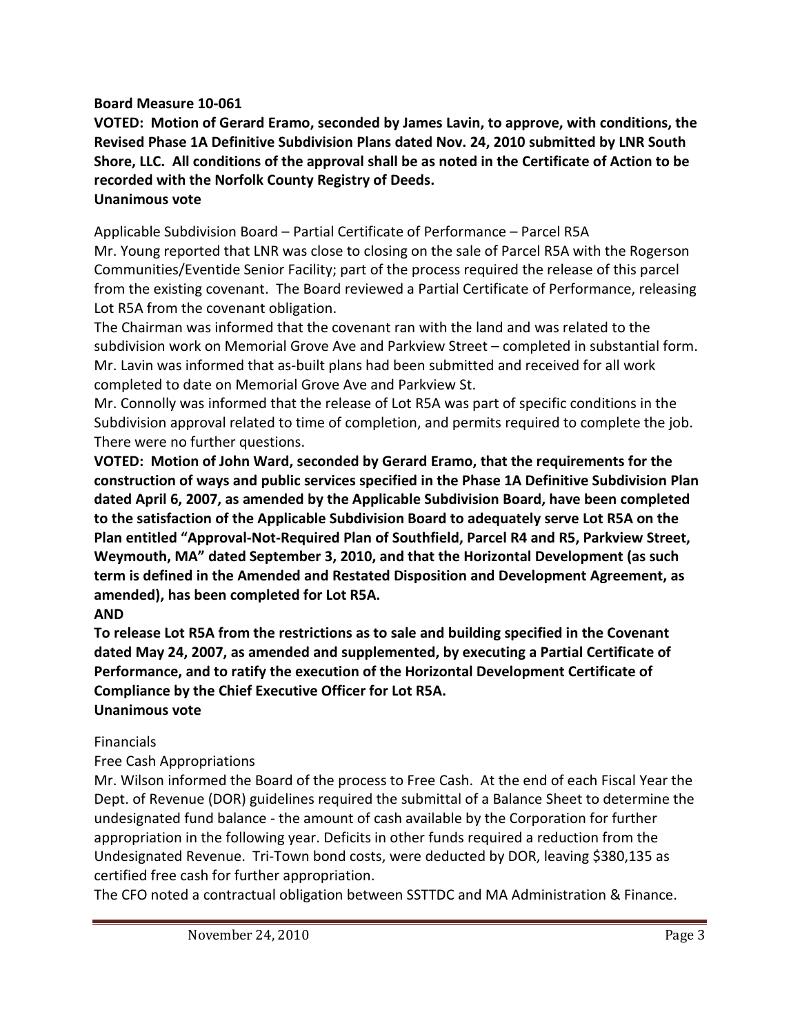#### **Board Measure 10-061**

**VOTED: Motion of Gerard Eramo, seconded by James Lavin, to approve, with conditions, the Revised Phase 1A Definitive Subdivision Plans dated Nov. 24, 2010 submitted by LNR South Shore, LLC. All conditions of the approval shall be as noted in the Certificate of Action to be recorded with the Norfolk County Registry of Deeds. Unanimous vote**

Applicable Subdivision Board – Partial Certificate of Performance – Parcel R5A Mr. Young reported that LNR was close to closing on the sale of Parcel R5A with the Rogerson Communities/Eventide Senior Facility; part of the process required the release of this parcel from the existing covenant. The Board reviewed a Partial Certificate of Performance, releasing Lot R5A from the covenant obligation.

The Chairman was informed that the covenant ran with the land and was related to the subdivision work on Memorial Grove Ave and Parkview Street – completed in substantial form. Mr. Lavin was informed that as-built plans had been submitted and received for all work completed to date on Memorial Grove Ave and Parkview St.

Mr. Connolly was informed that the release of Lot R5A was part of specific conditions in the Subdivision approval related to time of completion, and permits required to complete the job. There were no further questions.

**VOTED: Motion of John Ward, seconded by Gerard Eramo, that the requirements for the construction of ways and public services specified in the Phase 1A Definitive Subdivision Plan dated April 6, 2007, as amended by the Applicable Subdivision Board, have been completed to the satisfaction of the Applicable Subdivision Board to adequately serve Lot R5A on the Plan entitled "Approval-Not-Required Plan of Southfield, Parcel R4 and R5, Parkview Street, Weymouth, MA" dated September 3, 2010, and that the Horizontal Development (as such term is defined in the Amended and Restated Disposition and Development Agreement, as amended), has been completed for Lot R5A.**

## **AND**

**To release Lot R5A from the restrictions as to sale and building specified in the Covenant dated May 24, 2007, as amended and supplemented, by executing a Partial Certificate of Performance, and to ratify the execution of the Horizontal Development Certificate of Compliance by the Chief Executive Officer for Lot R5A. Unanimous vote**

## Financials

## Free Cash Appropriations

Mr. Wilson informed the Board of the process to Free Cash. At the end of each Fiscal Year the Dept. of Revenue (DOR) guidelines required the submittal of a Balance Sheet to determine the undesignated fund balance - the amount of cash available by the Corporation for further appropriation in the following year. Deficits in other funds required a reduction from the Undesignated Revenue. Tri-Town bond costs, were deducted by DOR, leaving \$380,135 as certified free cash for further appropriation.

The CFO noted a contractual obligation between SSTTDC and MA Administration & Finance.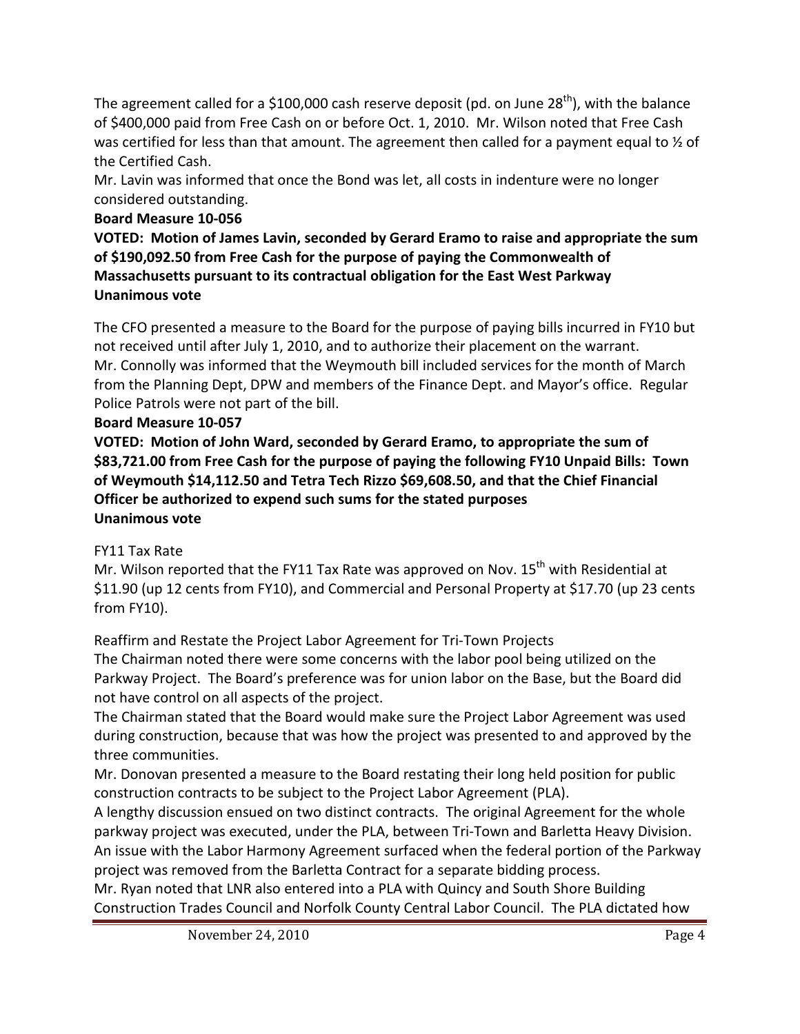The agreement called for a \$100,000 cash reserve deposit (pd. on June 28<sup>th</sup>), with the balance of \$400,000 paid from Free Cash on or before Oct. 1, 2010. Mr. Wilson noted that Free Cash was certified for less than that amount. The agreement then called for a payment equal to  $\frac{1}{2}$  of the Certified Cash.

Mr. Lavin was informed that once the Bond was let, all costs in indenture were no longer considered outstanding.

# **Board Measure 10-056**

**VOTED: Motion of James Lavin, seconded by Gerard Eramo to raise and appropriate the sum of \$190,092.50 from Free Cash for the purpose of paying the Commonwealth of Massachusetts pursuant to its contractual obligation for the East West Parkway Unanimous vote**

The CFO presented a measure to the Board for the purpose of paying bills incurred in FY10 but not received until after July 1, 2010, and to authorize their placement on the warrant. Mr. Connolly was informed that the Weymouth bill included services for the month of March from the Planning Dept, DPW and members of the Finance Dept. and Mayor's office. Regular Police Patrols were not part of the bill.

## **Board Measure 10-057**

**VOTED: Motion of John Ward, seconded by Gerard Eramo, to appropriate the sum of \$83,721.00 from Free Cash for the purpose of paying the following FY10 Unpaid Bills: Town of Weymouth \$14,112.50 and Tetra Tech Rizzo \$69,608.50, and that the Chief Financial Officer be authorized to expend such sums for the stated purposes Unanimous vote**

## FY11 Tax Rate

Mr. Wilson reported that the FY11 Tax Rate was approved on Nov. 15<sup>th</sup> with Residential at \$11.90 (up 12 cents from FY10), and Commercial and Personal Property at \$17.70 (up 23 cents from FY10).

Reaffirm and Restate the Project Labor Agreement for Tri-Town Projects The Chairman noted there were some concerns with the labor pool being utilized on the Parkway Project. The Board's preference was for union labor on the Base, but the Board did not have control on all aspects of the project.

The Chairman stated that the Board would make sure the Project Labor Agreement was used during construction, because that was how the project was presented to and approved by the three communities.

Mr. Donovan presented a measure to the Board restating their long held position for public construction contracts to be subject to the Project Labor Agreement (PLA).

A lengthy discussion ensued on two distinct contracts. The original Agreement for the whole parkway project was executed, under the PLA, between Tri-Town and Barletta Heavy Division. An issue with the Labor Harmony Agreement surfaced when the federal portion of the Parkway project was removed from the Barletta Contract for a separate bidding process.

Mr. Ryan noted that LNR also entered into a PLA with Quincy and South Shore Building Construction Trades Council and Norfolk County Central Labor Council. The PLA dictated how